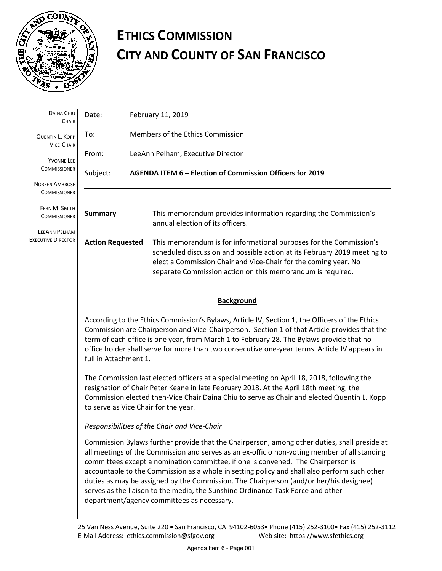

# **ETHICS COMMISSION CITY AND COUNTY OF SAN FRANCISCO**

| DAINA CHIU<br>CHAIR                                                                | Date:                                                                                                                                                                                                                                                                                                                                                                                                                                                                                                                                                                                                       | February 11, 2019                 |                                                                                                                                                                                                                                                                                 |  |
|------------------------------------------------------------------------------------|-------------------------------------------------------------------------------------------------------------------------------------------------------------------------------------------------------------------------------------------------------------------------------------------------------------------------------------------------------------------------------------------------------------------------------------------------------------------------------------------------------------------------------------------------------------------------------------------------------------|-----------------------------------|---------------------------------------------------------------------------------------------------------------------------------------------------------------------------------------------------------------------------------------------------------------------------------|--|
| <b>QUENTIN L. KOPP</b><br><b>VICE-CHAIR</b>                                        | To:                                                                                                                                                                                                                                                                                                                                                                                                                                                                                                                                                                                                         | Members of the Ethics Commission  |                                                                                                                                                                                                                                                                                 |  |
| YVONNE LEE<br><b>COMMISSIONER</b>                                                  | From:                                                                                                                                                                                                                                                                                                                                                                                                                                                                                                                                                                                                       | LeeAnn Pelham, Executive Director |                                                                                                                                                                                                                                                                                 |  |
|                                                                                    | Subject:                                                                                                                                                                                                                                                                                                                                                                                                                                                                                                                                                                                                    |                                   | AGENDA ITEM 6 - Election of Commission Officers for 2019                                                                                                                                                                                                                        |  |
| <b>NOREEN AMBROSE</b><br><b>COMMISSIONER</b>                                       |                                                                                                                                                                                                                                                                                                                                                                                                                                                                                                                                                                                                             |                                   |                                                                                                                                                                                                                                                                                 |  |
| FERN M. SMITH<br><b>COMMISSIONER</b><br>LEEANN PELHAM<br><b>EXECUTIVE DIRECTOR</b> | <b>Summary</b>                                                                                                                                                                                                                                                                                                                                                                                                                                                                                                                                                                                              |                                   | This memorandum provides information regarding the Commission's<br>annual election of its officers.                                                                                                                                                                             |  |
|                                                                                    | <b>Action Requested</b>                                                                                                                                                                                                                                                                                                                                                                                                                                                                                                                                                                                     |                                   | This memorandum is for informational purposes for the Commission's<br>scheduled discussion and possible action at its February 2019 meeting to<br>elect a Commission Chair and Vice-Chair for the coming year. No<br>separate Commission action on this memorandum is required. |  |
|                                                                                    | <b>Background</b>                                                                                                                                                                                                                                                                                                                                                                                                                                                                                                                                                                                           |                                   |                                                                                                                                                                                                                                                                                 |  |
|                                                                                    | According to the Ethics Commission's Bylaws, Article IV, Section 1, the Officers of the Ethics<br>Commission are Chairperson and Vice-Chairperson. Section 1 of that Article provides that the<br>term of each office is one year, from March 1 to February 28. The Bylaws provide that no<br>office holder shall serve for more than two consecutive one-year terms. Article IV appears in<br>full in Attachment 1.                                                                                                                                                                                        |                                   |                                                                                                                                                                                                                                                                                 |  |
|                                                                                    | The Commission last elected officers at a special meeting on April 18, 2018, following the<br>resignation of Chair Peter Keane in late February 2018. At the April 18th meeting, the<br>Commission elected then-Vice Chair Daina Chiu to serve as Chair and elected Quentin L. Kopp<br>to serve as Vice Chair for the year.                                                                                                                                                                                                                                                                                 |                                   |                                                                                                                                                                                                                                                                                 |  |
|                                                                                    | Responsibilities of the Chair and Vice-Chair                                                                                                                                                                                                                                                                                                                                                                                                                                                                                                                                                                |                                   |                                                                                                                                                                                                                                                                                 |  |
|                                                                                    | Commission Bylaws further provide that the Chairperson, among other duties, shall preside at<br>all meetings of the Commission and serves as an ex-officio non-voting member of all standing<br>committees except a nomination committee, if one is convened. The Chairperson is<br>accountable to the Commission as a whole in setting policy and shall also perform such other<br>duties as may be assigned by the Commission. The Chairperson (and/or her/his designee)<br>serves as the liaison to the media, the Sunshine Ordinance Task Force and other<br>department/agency committees as necessary. |                                   |                                                                                                                                                                                                                                                                                 |  |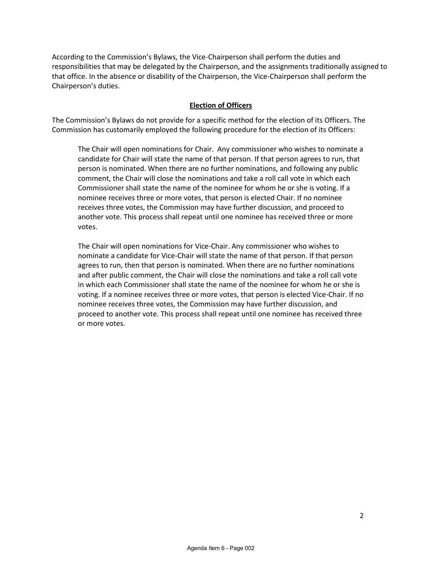According to the Commission's Bylaws, the Vice-Chairperson shall perform the duties and responsibilities that may be delegated by the Chairperson, and the assignments traditionally assigned to that office. In the absence or disability of the Chairperson, the Vice-Chairperson shall perform the Chairperson's duties.

# **Election of Officers**

The Commission's Bylaws do not provide for a specific method for the election of its Officers. The Commission has customarily employed the following procedure for the election of its Officers:

The Chair will open nominations for Chair. Any commissioner who wishes to nominate a candidate for Chair will state the name of that person. If that person agrees to run, that person is nominated. When there are no further nominations, and following any public comment, the Chair will close the nominations and take a roll call vote in which each Commissioner shall state the name of the nominee for whom he or she is voting. If a nominee receives three or more votes, that person is elected Chair. If no nominee receives three votes, the Commission may have further discussion, and proceed to another vote. This process shall repeat until one nominee has received three or more votes.

The Chair will open nominations for Vice-Chair. Any commissioner who wishes to nominate a candidate for Vice-Chair will state the name of that person. If that person agrees to run, then that person is nominated. When there are no further nominations and after public comment, the Chair will close the nominations and take a roll call vote in which each Commissioner shall state the name of the nominee for whom he or she is voting. If a nominee receives three or more votes, that person is elected Vice-Chair. If no nominee receives three votes, the Commission may have further discussion, and proceed to another vote. This process shall repeat until one nominee has received three or more votes.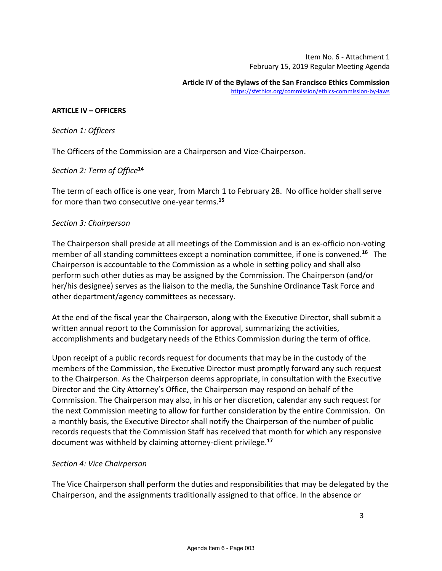Item No. 6 - Attachment 1 February 15, 2019 Regular Meeting Agenda

#### **ARTICLE IV – OFFICERS**

*Section 1: Officers*

The Officers of the Commission are a Chairperson and Vice-Chairperson.

# *Section 2: Term of Office***<sup>14</sup>**

The term of each office is one year, from March 1 to February 28. No office holder shall serve for more than two consecutive one-year terms.**<sup>15</sup>**

# *Section 3: Chairperson*

The Chairperson shall preside at all meetings of the Commission and is an ex-officio non-voting member of all standing committees except a nomination committee, if one is convened.**[16](https://sfethics.org/commission/ethics-commission-by-laws#_edn16)** The Chairperson is accountable to the Commission as a whole in setting policy and shall also perform such other duties as may be assigned by the Commission. The Chairperson (and/or her/his designee) serves as the liaison to the media, the Sunshine Ordinance Task Force and other department/agency committees as necessary.

At the end of the fiscal year the Chairperson, along with the Executive Director, shall submit a written annual report to the Commission for approval, summarizing the activities, accomplishments and budgetary needs of the Ethics Commission during the term of office.

Upon receipt of a public records request for documents that may be in the custody of the members of the Commission, the Executive Director must promptly forward any such request to the Chairperson. As the Chairperson deems appropriate, in consultation with the Executive Director and the City Attorney's Office, the Chairperson may respond on behalf of the Commission. The Chairperson may also, in his or her discretion, calendar any such request for the next Commission meeting to allow for further consideration by the entire Commission. On a monthly basis, the Executive Director shall notify the Chairperson of the number of public records requests that the Commission Staff has received that month for which any responsive document was withheld by claiming attorney-client privilege.**<sup>17</sup>**

# *Section 4: Vice Chairperson*

The Vice Chairperson shall perform the duties and responsibilities that may be delegated by the Chairperson, and the assignments traditionally assigned to that office. In the absence or